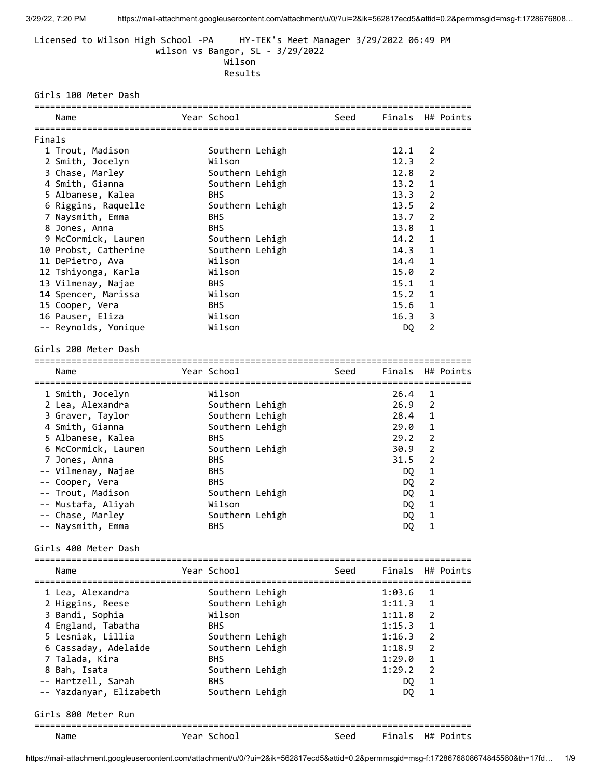Licensed to Wilson High School -PA HY-TEK's Meet Manager 3/29/2022 06:49 PM wilson vs Bangor, SL - 3/29/2022 Wilson Results

# Girls 100 Meter Dash

|        | Name                 | Year School     | Seed | Finals H# Points |                |           |
|--------|----------------------|-----------------|------|------------------|----------------|-----------|
| Finals |                      |                 |      |                  |                |           |
|        | 1 Trout, Madison     | Southern Lehigh |      | 12.1             | 2              |           |
|        | 2 Smith, Jocelyn     | Wilson          |      | 12.3             | $\overline{2}$ |           |
|        | 3 Chase, Marley      | Southern Lehigh |      | 12.8             | $\overline{2}$ |           |
|        | 4 Smith, Gianna      | Southern Lehigh |      | 13.2             | $\mathbf{1}$   |           |
|        | 5 Albanese, Kalea    | <b>BHS</b>      |      | 13.3             | $\overline{2}$ |           |
|        | 6 Riggins, Raquelle  | Southern Lehigh |      | 13.5             | $\overline{2}$ |           |
|        | 7 Naysmith, Emma     | <b>BHS</b>      |      | 13.7             | $\overline{2}$ |           |
|        | 8 Jones, Anna        | <b>BHS</b>      |      | 13.8             | $\mathbf{1}$   |           |
|        | 9 McCormick, Lauren  | Southern Lehigh |      | 14.2             | 1              |           |
|        | 10 Probst, Catherine | Southern Lehigh |      | 14.3             | 1              |           |
|        | 11 DePietro, Ava     | Wilson          |      | 14.4             | 1              |           |
|        | 12 Tshiyonga, Karla  | Wilson          |      | 15.0             | $\overline{2}$ |           |
|        | 13 Vilmenay, Najae   | <b>BHS</b>      |      | 15.1             | $\mathbf{1}$   |           |
|        | 14 Spencer, Marissa  | Wilson          |      | 15.2             | $\mathbf{1}$   |           |
|        | 15 Cooper, Vera      | <b>BHS</b>      |      | 15.6             | $\mathbf 1$    |           |
|        | 16 Pauser, Eliza     | Wilson          |      | 16.3             | 3              |           |
|        | -- Reynolds, Yonique | Wilson          |      | DQ               | $\overline{2}$ |           |
|        | Girls 200 Meter Dash |                 |      |                  |                |           |
|        |                      |                 |      |                  |                |           |
|        | Name                 | Year School     | Seed | Finals           |                | H# Points |
|        | 1 Smith, Jocelyn     | Wilson          |      | 26.4             | 1              |           |
|        | 2 Lea, Alexandra     | Southern Lehigh |      | 26.9             | 2              |           |
|        | 3 Graver, Taylor     | Southern Lehigh |      | 28.4             | $\mathbf{1}$   |           |
|        | 4 Smith, Gianna      | Southern Lehigh |      | 29.0             | $\mathbf{1}$   |           |
|        | 5 Albanese, Kalea    | <b>BHS</b>      |      | 29.2             | $\overline{2}$ |           |
|        | 6 McCormick, Lauren  | Southern Lehigh |      | 30.9             | $\overline{2}$ |           |
|        | 7 Jones, Anna        | <b>BHS</b>      |      | 31.5             | 2              |           |
|        | -- Vilmenay, Najae   | <b>BHS</b>      |      | DQ               | $\mathbf{1}$   |           |
|        | -- Cooper, Vera      | <b>BHS</b>      |      | DQ.              | $\overline{2}$ |           |
|        | -- Trout, Madison    | Southern Lehigh |      | DQ               | $\mathbf{1}$   |           |
|        | -- Mustafa, Aliyah   | Wilson          |      | DQ.              | 1              |           |
|        | -- Chase, Marley     | Southern Lehigh |      | DQ               | $\mathbf{1}$   |           |
|        | -- Naysmith, Emma    | <b>BHS</b>      |      | DQ               | $\mathbf{1}$   |           |

Girls 400 Meter Dash

| Name                    | Year School     |  | Seed |            | Finals H# Points |  |  |  |  |
|-------------------------|-----------------|--|------|------------|------------------|--|--|--|--|
| 1 Lea, Alexandra        | Southern Lehigh |  |      | 1:03.6     | $\overline{1}$   |  |  |  |  |
| 2 Higgins, Reese        | Southern Lehigh |  |      | $1:11.3$ 1 |                  |  |  |  |  |
| 3 Bandi, Sophia         | Wilson          |  |      | 1:11.8     | 2                |  |  |  |  |
| 4 England, Tabatha      | <b>BHS</b>      |  |      | 1:15.3     | 1                |  |  |  |  |
| 5 Lesniak, Lillia       | Southern Lehigh |  |      | 1:16.3     | $\overline{2}$   |  |  |  |  |
| 6 Cassaday, Adelaide    | Southern Lehigh |  |      | 1:18.9     | $\overline{2}$   |  |  |  |  |
| 7 Talada, Kira          | <b>BHS</b>      |  |      | 1:29.0     | 1                |  |  |  |  |
| 8 Bah, Isata            | Southern Lehigh |  |      | 1:29.2     | $\overline{2}$   |  |  |  |  |
| -- Hartzell, Sarah      | <b>BHS</b>      |  |      | DQ.        | $\mathbf{1}$     |  |  |  |  |
| -- Yazdanyar, Elizabeth | Southern Lehigh |  |      | DQ.        | 1                |  |  |  |  |
| Girls 800 Meter Run     |                 |  |      |            |                  |  |  |  |  |
| Name                    | Year School     |  | Seed | Finals     | H# Points        |  |  |  |  |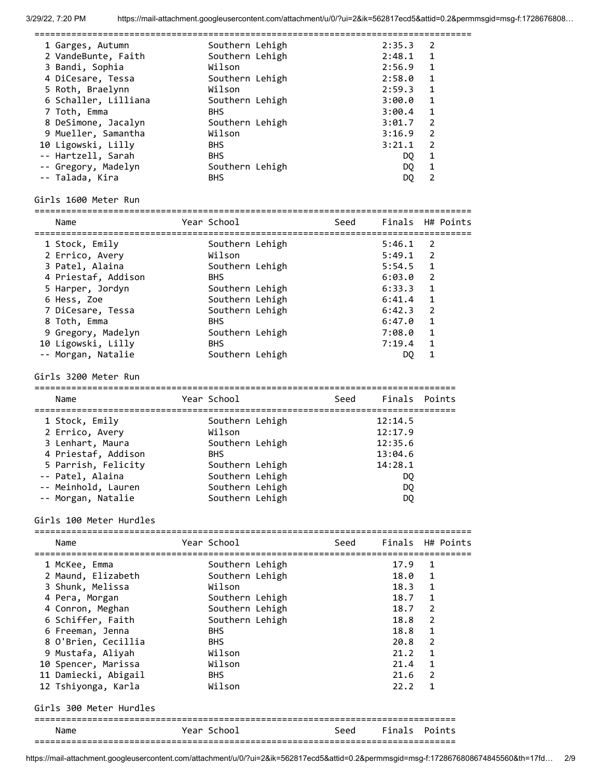===================================================================================

| 1 Garges, Autumn<br>2 VandeBunte, Faith<br>3 Bandi, Sophia<br>4 DiCesare, Tessa<br>5 Roth, Braelynn<br>6 Schaller, Lilliana<br>7 Toth, Emma<br>8 DeSimone, Jacalyn<br>9 Mueller, Samantha<br>10 Ligowski, Lilly<br>-- Hartzell, Sarah<br>-- Gregory, Madelyn                                                   | Southern Lehigh<br>Southern Lehigh<br>Wilson<br>Southern Lehigh<br>Wilson<br>Southern Lehigh<br><b>BHS</b><br>Southern Lehigh<br>Wilson<br><b>BHS</b><br><b>BHS</b><br>Southern Lehigh                                                               |                             |      | 2:35.3<br>2:48.1<br>2:56.9<br>2:58.0<br>2:59.3<br>3:00.0<br>3:00.4<br>3:01.7<br>3:16.9<br>3:21.1<br>DQ.<br>DQ                                            | 2<br>$\mathbf{1}$<br>$\mathbf{1}$<br>1<br>1<br>1<br>1<br>$\overline{2}$<br>$\overline{2}$<br>$\overline{2}$<br>$\mathbf 1$<br>$\mathbf{1}$ |           |
|----------------------------------------------------------------------------------------------------------------------------------------------------------------------------------------------------------------------------------------------------------------------------------------------------------------|------------------------------------------------------------------------------------------------------------------------------------------------------------------------------------------------------------------------------------------------------|-----------------------------|------|----------------------------------------------------------------------------------------------------------------------------------------------------------|--------------------------------------------------------------------------------------------------------------------------------------------|-----------|
| -- Talada, Kira<br>Girls 1600 Meter Run                                                                                                                                                                                                                                                                        | <b>BHS</b>                                                                                                                                                                                                                                           |                             |      | DQ.                                                                                                                                                      | $\overline{2}$                                                                                                                             |           |
|                                                                                                                                                                                                                                                                                                                |                                                                                                                                                                                                                                                      | =========================== |      |                                                                                                                                                          |                                                                                                                                            |           |
| Name                                                                                                                                                                                                                                                                                                           | Year School                                                                                                                                                                                                                                          |                             | Seed | Finals H# Points                                                                                                                                         |                                                                                                                                            |           |
| 1 Stock, Emily<br>2 Errico, Avery<br>3 Patel, Alaina<br>4 Priestaf, Addison<br>5 Harper, Jordyn<br>6 Hess, Zoe<br>7 DiCesare, Tessa<br>8 Toth, Emma<br>9 Gregory, Madelyn<br>10 Ligowski, Lilly<br>-- Morgan, Natalie<br>Girls 3200 Meter Run<br>Name<br>1 Stock, Emily<br>2 Errico, Avery<br>3 Lenhart, Maura | Southern Lehigh<br>Wilson<br>Southern Lehigh<br><b>BHS</b><br>Southern Lehigh<br>Southern Lehigh<br>Southern Lehigh<br><b>BHS</b><br>Southern Lehigh<br><b>BHS</b><br>Southern Lehigh<br>Year School<br>Southern Lehigh<br>Wilson<br>Southern Lehigh |                             | Seed | 5:46.1<br>5:49.1<br>5:54.5<br>6:03.0<br>6:33.3<br>6:41.4<br>6:42.3<br>6:47.0<br>7:08.0<br>7:19.4<br>DQ<br>Finals Points<br>12:14.5<br>12:17.9<br>12:35.6 | 2<br>2<br>$\mathbf{1}$<br>$\overline{2}$<br>1<br>1<br>$\overline{2}$<br>$\mathbf 1$<br>$\mathbf{1}$<br>1<br>$\mathbf{1}$                   |           |
| 4 Priestaf, Addison<br>5 Parrish, Felicity<br>-- Patel, Alaina<br>-- Meinhold, Lauren<br>-- Morgan, Natalie                                                                                                                                                                                                    | <b>BHS</b><br>Southern Lehigh<br>Southern Lehigh<br>Southern Lehigh<br>Southern Lehigh                                                                                                                                                               |                             |      | 13:04.6<br>14:28.1<br>D <sub>0</sub><br>DQ<br>DQ                                                                                                         |                                                                                                                                            |           |
| Girls 100 Meter Hurdles<br>======================                                                                                                                                                                                                                                                              |                                                                                                                                                                                                                                                      |                             |      |                                                                                                                                                          |                                                                                                                                            |           |
| Name                                                                                                                                                                                                                                                                                                           | Year School                                                                                                                                                                                                                                          |                             | Seed | Finals                                                                                                                                                   |                                                                                                                                            | H# Points |
| 1 McKee, Emma<br>2 Maund, Elizabeth<br>3 Shunk, Melissa<br>4 Pera, Morgan<br>4 Conron, Meghan<br>6 Schiffer, Faith<br>6 Freeman, Jenna<br>8 O'Brien, Cecillia<br>9 Mustafa, Aliyah<br>10 Spencer, Marissa<br>11 Damiecki, Abigail<br>12 Tshiyonga, Karla<br>Girls 300 Meter Hurdles                            | Southern Lehigh<br>Southern Lehigh<br>Wilson<br>Southern Lehigh<br>Southern Lehigh<br>Southern Lehigh<br><b>BHS</b><br><b>BHS</b><br>Wilson<br>Wilson<br><b>BHS</b><br>Wilson                                                                        |                             |      | 17.9<br>18.0<br>18.3<br>18.7<br>18.7<br>18.8<br>18.8<br>20.8<br>21.2<br>21.4<br>21.6<br>22.2                                                             | 1<br>1<br>1<br>1<br>2<br>2<br>1<br>2<br>1<br>1<br>$\overline{2}$<br>1                                                                      |           |
| Name                                                                                                                                                                                                                                                                                                           | Year School                                                                                                                                                                                                                                          |                             | Seed | Finals                                                                                                                                                   |                                                                                                                                            | Points    |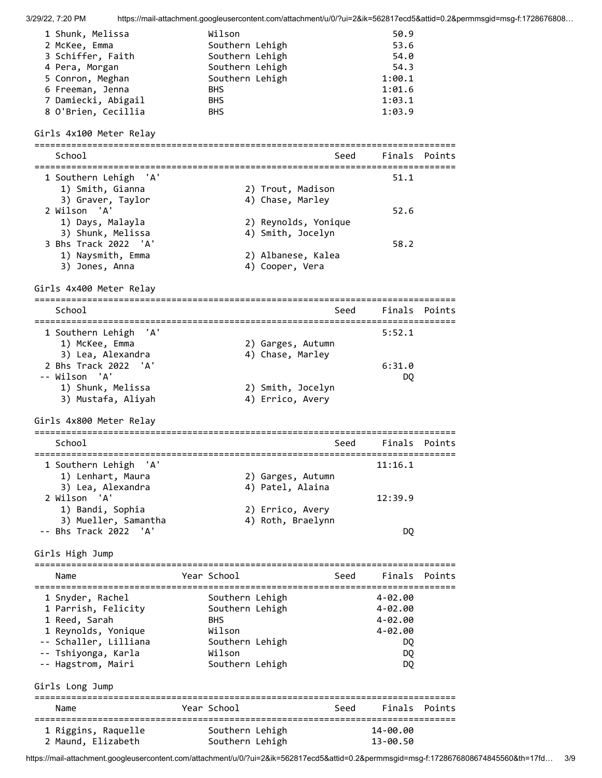| 1 Shunk, Melissa    | Wilson          | 50.9   |
|---------------------|-----------------|--------|
| 2 McKee, Emma       | Southern Lehigh | 53.6   |
| 3 Schiffer, Faith   | Southern Lehigh | 54.0   |
| 4 Pera, Morgan      | Southern Lehigh | 54.3   |
| 5 Conron, Meghan    | Southern Lehigh | 1:00.1 |
| 6 Freeman, Jenna    | <b>BHS</b>      | 1:01.6 |
| 7 Damiecki, Abigail | <b>BHS</b>      | 1:03.1 |
| 8 O'Brien, Cecillia | <b>BHS</b>      | 1:03.9 |

## Girls 4x100 Meter Relay

|                                                              | ----------           |      |             |        |
|--------------------------------------------------------------|----------------------|------|-------------|--------|
| School                                                       |                      | Seed | Finals      | Points |
|                                                              |                      |      |             |        |
| 1 Southern Lehigh<br>'A'                                     |                      |      | 51.1        |        |
| 1) Smith, Gianna                                             | 2) Trout, Madison    |      |             |        |
| 3) Graver, Taylor                                            | 4) Chase, Marley     |      |             |        |
| 2 Wilson<br>'A'                                              |                      |      | 52.6        |        |
| 1) Days, Malayla                                             | 2) Reynolds, Yonique |      |             |        |
| 3) Shunk, Melissa                                            | 4) Smith, Jocelyn    |      |             |        |
| 3 Bhs Track 2022 'A'                                         |                      |      | 58.2        |        |
| 1) Naysmith, Emma                                            | 2) Albanese, Kalea   |      |             |        |
| 3) Jones, Anna                                               | 4) Cooper, Vera      |      |             |        |
|                                                              |                      |      |             |        |
| Girls 4x400 Meter Relay<br>================================= |                      |      |             |        |
| School                                                       |                      | Seed | Finals      | Points |
| 1 Southern Lehigh<br>'A'                                     |                      |      | 5:52.1      |        |
|                                                              |                      |      |             |        |
| 1) McKee, Emma                                               | 2) Garges, Autumn    |      |             |        |
| 3) Lea, Alexandra                                            | 4) Chase, Marley     |      |             |        |
| 2 Bhs Track 2022<br>'A'                                      |                      |      | 6:31.0      |        |
| -- Wilson 'A'                                                |                      |      | DQ          |        |
| 1) Shunk, Melissa                                            | 2) Smith, Jocelyn    |      |             |        |
| 3) Mustafa, Aliyah                                           | 4) Errico, Avery     |      |             |        |
| Girls 4x800 Meter Relay                                      |                      |      |             |        |
|                                                              |                      |      |             |        |
| School                                                       |                      | Seed | Finals      | Points |
|                                                              |                      |      |             |        |
| 1 Southern Lehigh<br>'A'                                     |                      |      | 11:16.1     |        |
| 1) Lenhart, Maura                                            | 2) Garges, Autumn    |      |             |        |
| 3) Lea, Alexandra                                            | 4) Patel, Alaina     |      |             |        |
| 2 Wilson 'A'                                                 |                      |      | 12:39.9     |        |
| 1) Bandi, Sophia                                             | 2) Errico, Avery     |      |             |        |
| 3) Mueller, Samantha                                         | 4) Roth, Braelynn    |      |             |        |
| -- Bhs Track 2022 'A'                                        |                      |      | DQ.         |        |
| Girls High Jump                                              |                      |      |             |        |
|                                                              |                      |      |             |        |
| Name<br>=================================                    | Year School          | Seed | Finals      | Points |
| 1 Snyder, Rachel                                             | Southern Lehigh      |      | $4 - 02.00$ |        |
| 1 Parrish, Felicity                                          | Southern Lehigh      |      | $4 - 02.00$ |        |
| 1 Reed, Sarah                                                | <b>BHS</b>           |      | $4 - 02.00$ |        |
| 1 Reynolds, Yonique                                          | Wilson               |      | $4 - 02.00$ |        |
| -- Schaller, Lilliana                                        | Southern Lehigh      |      | DQ          |        |
| -- Tshiyonga, Karla                                          | Wilson               |      | DQ          |        |
| -- Hagstrom, Mairi                                           | Southern Lehigh      |      | DQ          |        |
|                                                              |                      |      |             |        |
| Girls Long Jump                                              |                      |      |             |        |
|                                                              |                      |      |             |        |
| Name                                                         | Year School          | Seed | Finals      | Points |
|                                                              |                      |      |             |        |
| 1 Riggins, Raquelle                                          | Southern Lehigh      |      | 14-00.00    |        |
| 2 Maund, Elizabeth                                           | Southern Lehigh      |      | 13-00.50    |        |

https://mail-attachment.googleusercontent.com/attachment/u/0/?ui=2&ik=562817ecd5&attid=0.2&permmsgid=msg-f:1728676808674845560&th=17fd… 3/9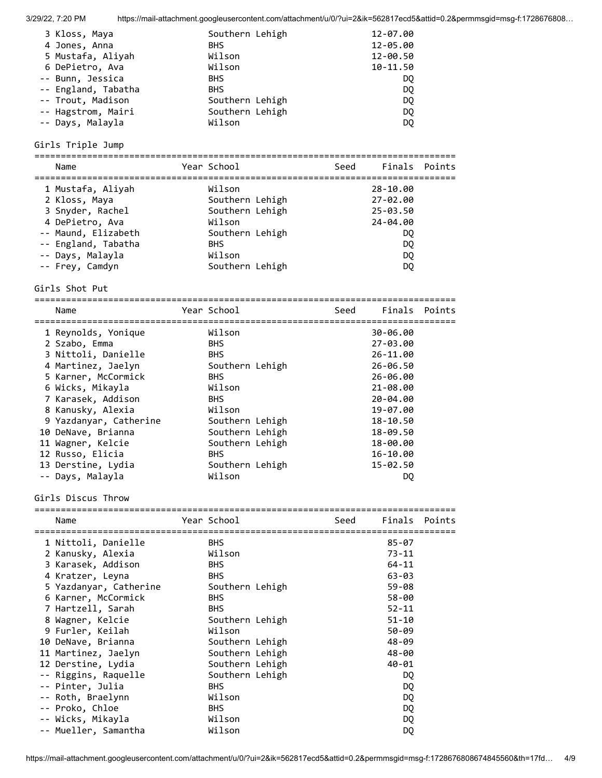| 3 Kloss, Maya       | Southern Lehigh | 12-07.00     |
|---------------------|-----------------|--------------|
| 4 Jones, Anna       | BHS.            | 12-05.00     |
| 5 Mustafa, Aliyah   | Wilson          | 12-00.50     |
| 6 DePietro, Ava     | Wilson          | $10 - 11.50$ |
| -- Bunn, Jessica    | <b>BHS</b>      | DO.          |
| -- England, Tabatha | <b>BHS</b>      | DQ           |
| -- Trout, Madison   | Southern Lehigh | DQ.          |
| -- Hagstrom, Mairi  | Southern Lehigh | DQ.          |
| -- Days, Malayla    | Wilson          | DQ           |

Girls Triple Jump

================================================================================

| Name                | Year School     | Seed | Finals Points |  |
|---------------------|-----------------|------|---------------|--|
| 1 Mustafa, Aliyah   | Wilson          |      | 28-10.00      |  |
| 2 Kloss, Maya       | Southern Lehigh |      | 27-02.00      |  |
| 3 Snyder, Rachel    | Southern Lehigh |      | 25-03.50      |  |
| 4 DePietro, Ava     | Wilson          |      | 24-04.00      |  |
| -- Maund, Elizabeth | Southern Lehigh |      | DQ            |  |
| -- England, Tabatha | <b>BHS</b>      |      | DQ            |  |
| -- Days, Malayla    | Wilson          |      | DQ            |  |
| -- Frey, Camdyn     | Southern Lehigh |      | DQ            |  |

Girls Shot Put

| Name                   | Year School     | Seed | Finals Points |  |
|------------------------|-----------------|------|---------------|--|
| 1 Reynolds, Yonique    | Wilson          |      | 30-06.00      |  |
| 2 Szabo, Emma          | <b>BHS</b>      |      | 27-03.00      |  |
| 3 Nittoli, Danielle    | <b>BHS</b>      |      | 26-11.00      |  |
| 4 Martinez, Jaelyn     | Southern Lehigh |      | $26 - 06.50$  |  |
| 5 Karner, McCormick    | <b>BHS</b>      |      | 26-06.00      |  |
| 6 Wicks, Mikayla       | Wilson          |      | 21-08.00      |  |
| 7 Karasek, Addison     | <b>BHS</b>      |      | 20-04.00      |  |
| 8 Kanusky, Alexia      | Wilson          |      | 19-07.00      |  |
| 9 Yazdanyar, Catherine | Southern Lehigh |      | $18 - 10.50$  |  |
| 10 DeNave, Brianna     | Southern Lehigh |      | 18-09.50      |  |
| 11 Wagner, Kelcie      | Southern Lehigh |      | 18-00.00      |  |
| 12 Russo, Elicia       | <b>BHS</b>      |      | 16-10.00      |  |
| 13 Derstine, Lydia     | Southern Lehigh |      | $15 - 02.50$  |  |
| -- Days, Malayla       | Wilson          |      | DO.           |  |

Girls Discus Throw

| Name                   | Year School     | Seed | Finals Points |  |
|------------------------|-----------------|------|---------------|--|
| 1 Nittoli, Danielle    | <b>BHS</b>      |      | $85 - 07$     |  |
| 2 Kanusky, Alexia      | Wilson          |      | $73 - 11$     |  |
| 3 Karasek, Addison     | <b>BHS</b>      |      | $64 - 11$     |  |
| 4 Kratzer, Leyna       | <b>BHS</b>      |      | 63-03         |  |
| 5 Yazdanyar, Catherine | Southern Lehigh |      | $59 - 08$     |  |
| 6 Karner, McCormick    | <b>BHS</b>      |      | $58 - 00$     |  |
| 7 Hartzell, Sarah      | <b>BHS</b>      |      | $52 - 11$     |  |
| 8 Wagner, Kelcie       | Southern Lehigh |      | $51 - 10$     |  |
| 9 Furler, Keilah       | Wilson          |      | 50-09         |  |
| 10 DeNave, Brianna     | Southern Lehigh |      | 48-09         |  |
| 11 Martinez, Jaelyn    | Southern Lehigh |      | 48-00         |  |
| 12 Derstine, Lydia     | Southern Lehigh |      | $40 - 01$     |  |
| -- Riggins, Raquelle   | Southern Lehigh |      | DQ            |  |
| -- Pinter, Julia       | <b>BHS</b>      |      | DQ            |  |
| -- Roth, Braelynn      | Wilson          |      | DQ            |  |
| -- Proko, Chloe        | <b>BHS</b>      |      | DQ            |  |
| -- Wicks, Mikayla      | Wilson          |      | DQ            |  |
| -- Mueller, Samantha   | Wilson          |      | DQ            |  |

https://mail-attachment.googleusercontent.com/attachment/u/0/?ui=2&ik=562817ecd5&attid=0.2&permmsgid=msg-f:1728676808674845560&th=17fd… 4/9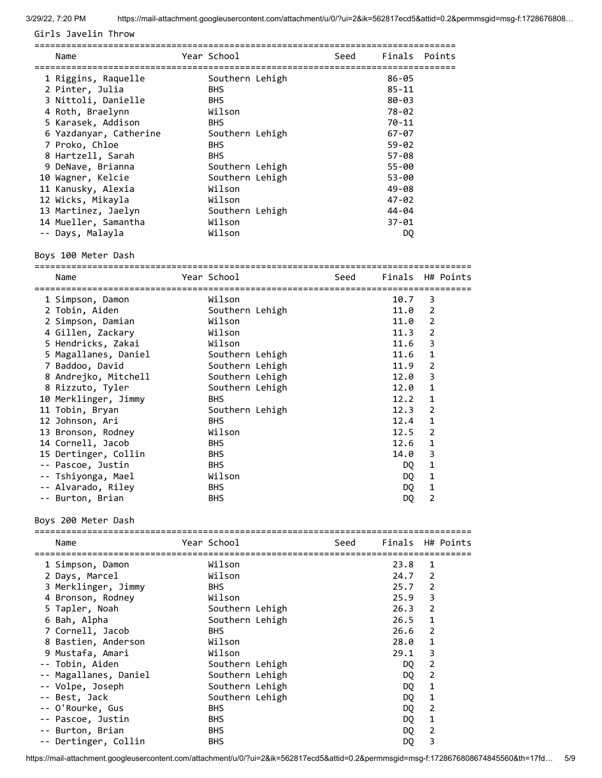Girls Javelin Throw

| Name                   | Year School     | Seed | Finals Points |  |
|------------------------|-----------------|------|---------------|--|
| 1 Riggins, Raquelle    | Southern Lehigh |      | 86-05         |  |
| 2 Pinter, Julia        | <b>BHS</b>      |      | $85 - 11$     |  |
| 3 Nittoli, Danielle    | <b>BHS</b>      |      | $80 - 03$     |  |
| 4 Roth, Braelynn       | Wilson          |      | 78-02         |  |
| 5 Karasek, Addison     | <b>BHS</b>      |      | 70-11         |  |
| 6 Yazdanyar, Catherine | Southern Lehigh |      | $67 - 07$     |  |
| 7 Proko, Chloe         | <b>BHS</b>      |      | $59 - 02$     |  |
| 8 Hartzell, Sarah      | <b>BHS</b>      |      | $57 - 08$     |  |
| 9 DeNave, Brianna      | Southern Lehigh |      | $55 - 00$     |  |
| 10 Wagner, Kelcie      | Southern Lehigh |      | 53-00         |  |
| 11 Kanusky, Alexia     | Wilson          |      | 49-08         |  |
| 12 Wicks, Mikayla      | Wilson          |      | $47 - 02$     |  |
| 13 Martinez, Jaelyn    | Southern Lehigh |      | $44 - 04$     |  |
| 14 Mueller, Samantha   | Wilson          |      | $37 - 01$     |  |
| -- Days, Malayla       | Wilson          |      | DQ            |  |

Boys 100 Meter Dash

| Name                                         | Year School     |                                       | Seed | Finals H# Points |              |  |
|----------------------------------------------|-----------------|---------------------------------------|------|------------------|--------------|--|
| ========================<br>1 Simpson, Damon | Wilson          | ===================================== |      | 10.7             | 3            |  |
| 2 Tobin, Aiden                               | Southern Lehigh |                                       |      | 11.0             | 2            |  |
| 2 Simpson, Damian                            | Wilson          |                                       |      | 11.0             | 2            |  |
| 4 Gillen, Zackary                            | Wilson          |                                       |      | 11.3             | 2            |  |
| 5 Hendricks, Zakai                           | Wilson          |                                       |      | 11.6             | 3            |  |
| 5 Magallanes, Daniel                         | Southern Lehigh |                                       |      | 11.6             | 1            |  |
| 7 Baddoo, David                              | Southern Lehigh |                                       |      | 11.9             | 2            |  |
| 8 Andrejko, Mitchell                         | Southern Lehigh |                                       |      | 12.0             | 3            |  |
| 8 Rizzuto, Tyler                             | Southern Lehigh |                                       |      | 12.0             | 1            |  |
| 10 Merklinger, Jimmy                         | <b>BHS</b>      |                                       |      | 12.2             | 1            |  |
| 11 Tobin, Bryan                              | Southern Lehigh |                                       |      | 12.3             | 2            |  |
| 12 Johnson, Ari                              | <b>BHS</b>      |                                       |      | 12.4             | $\mathbf{1}$ |  |
| 13 Bronson, Rodney                           | Wilson          |                                       |      | 12.5             | 2            |  |
| 14 Cornell, Jacob                            | <b>BHS</b>      |                                       |      | 12.6             | 1            |  |
| 15 Dertinger, Collin                         | <b>BHS</b>      |                                       |      | 14.0             | 3            |  |
| -- Pascoe, Justin                            | <b>BHS</b>      |                                       |      | DQ               | 1            |  |
| -- Tshiyonga, Mael                           | Wilson          |                                       |      | DQ               | 1            |  |
| -- Alvarado, Riley                           | <b>BHS</b>      |                                       |      | DQ               | 1            |  |
| -- Burton, Brian                             | <b>BHS</b>      |                                       |      | DQ               | 2            |  |

Boys 200 Meter Dash

| Name                  | Year School     | Seed | Finals H# Points |                |  |
|-----------------------|-----------------|------|------------------|----------------|--|
| 1 Simpson, Damon      | Wilson          |      | 23.8             | 1              |  |
| 2 Days, Marcel        | Wilson          |      | $24.7$ 2         |                |  |
| 3 Merklinger, Jimmy   | <b>BHS</b>      |      | $25.7$ 2         |                |  |
| 4 Bronson, Rodney     | Wilson          |      | 25.9             | 3              |  |
| 5 Tapler, Noah        | Southern Lehigh |      | 26.3             | $\overline{2}$ |  |
| 6 Bah, Alpha          | Southern Lehigh |      | 26.5             | $\mathbf{1}$   |  |
| 7 Cornell, Jacob      | <b>BHS</b>      |      | 26.6             | $\overline{2}$ |  |
| 8 Bastien, Anderson   | Wilson          |      | 28.0             | $\mathbf{1}$   |  |
| 9 Mustafa, Amari      | Wilson          |      | 29.1             | 3              |  |
| -- Tobin, Aiden       | Southern Lehigh |      | DQ.              | 2              |  |
| -- Magallanes, Daniel | Southern Lehigh |      | DQ               | 2              |  |
| -- Volpe, Joseph      | Southern Lehigh |      | DQ               | 1              |  |
| -- Best, Jack         | Southern Lehigh |      | DQ               | 1              |  |
| -- O'Rourke, Gus      | <b>BHS</b>      |      | DQ               | $\overline{2}$ |  |
| -- Pascoe, Justin     | <b>BHS</b>      |      | DQ               | 1              |  |
| -- Burton, Brian      | <b>BHS</b>      |      | DQ               | $\overline{2}$ |  |
| -- Dertinger, Collin  | <b>BHS</b>      |      | DQ               | 3              |  |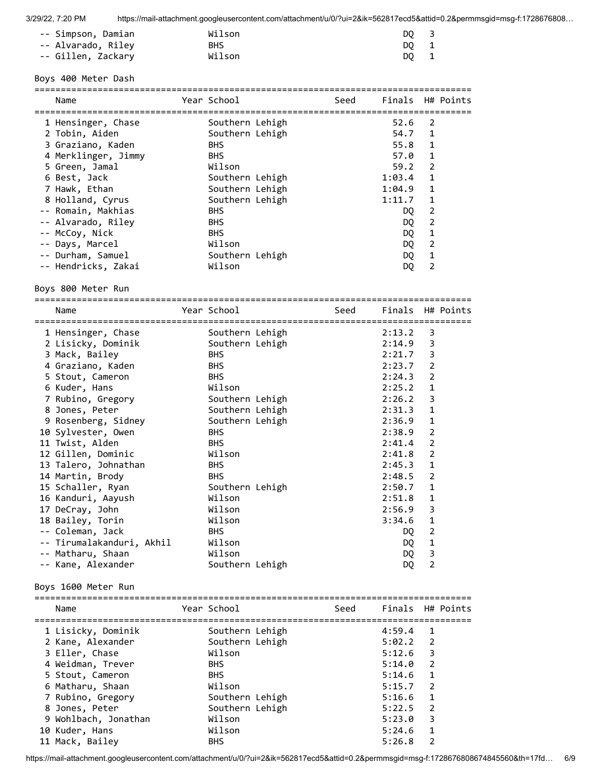| -- Simpson, Damian | Wilson     | DO 3 |
|--------------------|------------|------|
| -- Alvarado, Riley | <b>BHS</b> | DO 1 |
| -- Gillen, Zackary | Wilson     | DO 1 |

#### Boys 400 Meter Dash

| Name                | Year School     | Seed | Finals H# Points |              |  |
|---------------------|-----------------|------|------------------|--------------|--|
| 1 Hensinger, Chase  | Southern Lehigh |      | 52.6             | 2            |  |
| 2 Tobin, Aiden      | Southern Lehigh |      | 54.7             | 1            |  |
| 3 Graziano, Kaden   | <b>BHS</b>      |      | 55.8             | $\mathbf{1}$ |  |
| 4 Merklinger, Jimmy | <b>BHS</b>      |      | 57.0             | 1            |  |
| 5 Green, Jamal      | Wilson          |      | 59.2             | 2            |  |
| 6 Best, Jack        | Southern Lehigh |      | 1:03.4           | 1            |  |
| 7 Hawk, Ethan       | Southern Lehigh |      | 1:04.9           | 1            |  |
| 8 Holland, Cyrus    | Southern Lehigh |      | 1:11.7           | 1            |  |
| -- Romain, Makhias  | <b>BHS</b>      |      | DQ               | 2            |  |
| -- Alvarado, Riley  | <b>BHS</b>      |      | DQ.              | 2            |  |
| -- McCoy, Nick      | <b>BHS</b>      |      | DQ.              | 1            |  |
| -- Days, Marcel     | Wilson          |      | DQ.              | 2            |  |
| -- Durham, Samuel   | Southern Lehigh |      | DQ               | 1            |  |
| -- Hendricks, Zakai | Wilson          |      | DQ               | 2            |  |
| Boys 800 Meter Run  |                 |      |                  |              |  |

===================================================================================

Name The Year School Seed Finals H# Points =================================================================================== 1 Hensinger, Chase Southern Lehigh 2:13.2 3 2 Lisicky, Dominik Southern Lehigh 2:14.9 3 3 Mack, Bailey BHS 2:21.7 3 4 Graziano, Kaden BHS 2:21.7 3<br>
4 Graziano, Kaden BHS 2:23.7 2<br>
5 Stout, Cameron BHS 2:24.3 2<br>
6 Kuder, Hans Wilson 2:25.2 1 5 Stout, Cameron BHS 2:24.3 2 6 Kuder, Hans Wilson 2:25.2 1 7 Rubino, Gregory Southern Lehigh 2:26.2 3 8 Jones, Peter Southern Lehigh 2:31.3 1 9 Rosenberg, Sidney Southern Lehigh 2:36.9 1 10 Sylvester, Owen BHS 2:38.9 2 11 Twist, Alden BHS 2:41.4 2 12 Gillen, Dominic Wilson 2:41.8 2 13 Talero, Johnathan BHS 2:45.3 1 14 Martin, Brody BHS 2:48.5 2 15 Schaller, Ryan Southern Lehigh 2:50.7 1 16 Kanduri, Aayush Wilson 2:51.8 1 17 DeCray, John Wilson 2:56.9 3 18 Bailey, Torin Wilson 3:34.6 1 -- Coleman, Jack BHS DQ 2 -- Tirumalakanduri, Akhil Wilson Nilson DQ 1 -- Matharu, Shaan Wilson DQ 3 -- Kane, Alexander Southern Lehigh DQ 2

Boys 1600 Meter Run

| Name                 | Year School     | Seed |            | Finals H# Points |
|----------------------|-----------------|------|------------|------------------|
| 1 Lisicky, Dominik   | Southern Lehigh |      | 4:59.4     | $\mathbf{1}$     |
| 2 Kane, Alexander    | Southern Lehigh |      | $5:02.2$ 2 |                  |
| 3 Eller, Chase       | Wilson          |      | 5:12.6     | 3                |
| 4 Weidman, Trever    | <b>BHS</b>      |      | 5:14.0     | $\overline{2}$   |
| 5 Stout, Cameron     | <b>BHS</b>      |      | 5:14.6     | $\overline{1}$   |
| 6 Matharu, Shaan     | Wilson          |      | 5:15.7     | $\overline{2}$   |
| 7 Rubino, Gregory    | Southern Lehigh |      | 5:16.6     | $\mathbf{1}$     |
| 8 Jones, Peter       | Southern Lehigh |      | 5:22.5     | -2               |
| 9 Wohlbach, Jonathan | Wilson          |      | 5:23.0     | 3                |
| 10 Kuder, Hans       | Wilson          |      | 5:24.6     | $\mathbf{1}$     |
| 11 Mack, Bailey      | <b>BHS</b>      |      | 5:26.8     | $\mathfrak{p}$   |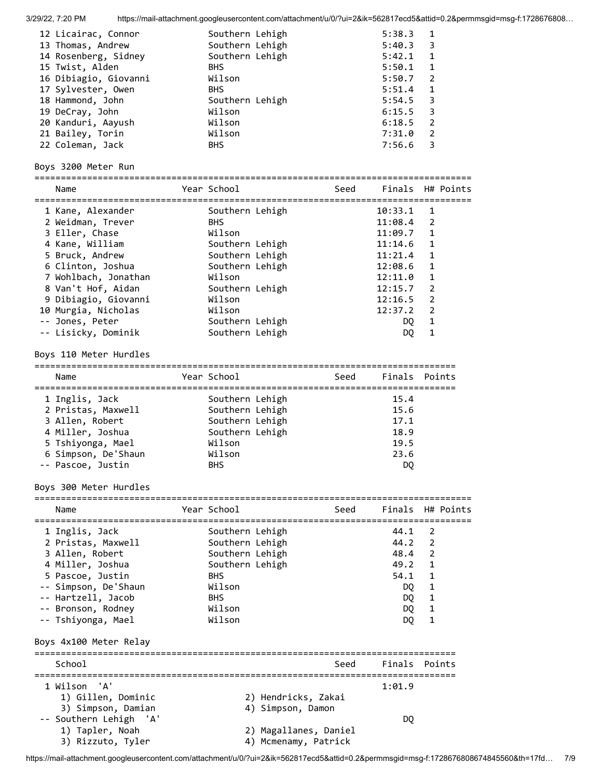| 3/29/22, 7:20 PM       |             |                      | https://mail-attachment.googleusercontent.com/attachment/u/0/?ui=2&ik=562817ecd5&attid=0.2&permmsgid=msg-f:1728676808 |                  |                |           |
|------------------------|-------------|----------------------|-----------------------------------------------------------------------------------------------------------------------|------------------|----------------|-----------|
| 12 Licairac, Connor    |             | Southern Lehigh      |                                                                                                                       | 5:38.3           | $\mathbf{1}$   |           |
| 13 Thomas, Andrew      |             | Southern Lehigh      |                                                                                                                       | 5:40.3           | 3              |           |
| 14 Rosenberg, Sidney   |             | Southern Lehigh      |                                                                                                                       | 5:42.1           | 1              |           |
| 15 Twist, Alden        | <b>BHS</b>  |                      |                                                                                                                       | 5:50.1           | 1              |           |
| 16 Dibiagio, Giovanni  | Wilson      |                      |                                                                                                                       | 5:50.7           | 2              |           |
| 17 Sylvester, Owen     | <b>BHS</b>  |                      |                                                                                                                       | 5:51.4           | 1              |           |
| 18 Hammond, John       |             | Southern Lehigh      |                                                                                                                       | 5:54.5           | 3              |           |
| 19 DeCray, John        | Wilson      |                      |                                                                                                                       | 6:15.5           | 3              |           |
| 20 Kanduri, Aayush     | Wilson      |                      |                                                                                                                       | 6:18.5           | $\overline{2}$ |           |
| 21 Bailey, Torin       | Wilson      |                      |                                                                                                                       | 7:31.0           | 2              |           |
| 22 Coleman, Jack       | <b>BHS</b>  |                      |                                                                                                                       | 7:56.6           | 3              |           |
| Boys 3200 Meter Run    |             |                      |                                                                                                                       |                  |                |           |
| Name                   | Year School |                      | Seed                                                                                                                  | Finals H# Points |                |           |
|                        |             |                      |                                                                                                                       |                  |                |           |
| 1 Kane, Alexander      |             | Southern Lehigh      |                                                                                                                       | 10:33.1          | 1              |           |
| 2 Weidman, Trever      | <b>BHS</b>  |                      |                                                                                                                       | 11:08.4          | 2              |           |
| 3 Eller, Chase         | Wilson      |                      |                                                                                                                       | 11:09.7          | 1              |           |
| 4 Kane, William        |             | Southern Lehigh      |                                                                                                                       | 11:14.6          | 1              |           |
| 5 Bruck, Andrew        |             | Southern Lehigh      |                                                                                                                       | 11:21.4          | 1              |           |
| 6 Clinton, Joshua      |             | Southern Lehigh      |                                                                                                                       | 12:08.6          | 1              |           |
| 7 Wohlbach, Jonathan   | Wilson      |                      |                                                                                                                       | 12:11.0          | 1              |           |
| 8 Van't Hof, Aidan     |             | Southern Lehigh      |                                                                                                                       | 12:15.7          | 2              |           |
| 9 Dibiagio, Giovanni   | Wilson      |                      |                                                                                                                       | 12:16.5          | 2              |           |
| 10 Murgia, Nicholas    | Wilson      |                      |                                                                                                                       | 12:37.2 2        |                |           |
| -- Jones, Peter        |             | Southern Lehigh      |                                                                                                                       | DQ               | $\mathbf{1}$   |           |
| -- Lisicky, Dominik    |             | Southern Lehigh      |                                                                                                                       | DQ               | 1              |           |
| Boys 110 Meter Hurdles |             |                      |                                                                                                                       |                  |                |           |
| Name                   | Year School |                      | Seed                                                                                                                  | Finals Points    |                |           |
| 1 Inglis, Jack         |             | Southern Lehigh      |                                                                                                                       | 15.4             |                |           |
| 2 Pristas, Maxwell     |             | Southern Lehigh      |                                                                                                                       | 15.6             |                |           |
| 3 Allen, Robert        |             | Southern Lehigh      |                                                                                                                       | 17.1             |                |           |
| 4 Miller, Joshua       |             | Southern Lehigh      |                                                                                                                       | 18.9             |                |           |
| 5 Tshiyonga, Mael      | Wilson      |                      |                                                                                                                       | 19.5             |                |           |
| 6 Simpson, De'Shaun    | Wilson      |                      |                                                                                                                       | 23.6             |                |           |
|                        | <b>BHS</b>  |                      |                                                                                                                       |                  |                |           |
| -- Pascoe, Justin      |             |                      |                                                                                                                       | DQ               |                |           |
| Boys 300 Meter Hurdles |             |                      |                                                                                                                       |                  |                |           |
| Name                   | Year School |                      | Seed                                                                                                                  | Finals           |                | H# Points |
|                        |             |                      |                                                                                                                       |                  |                |           |
| 1 Inglis, Jack         |             | Southern Lehigh      |                                                                                                                       | 44.1             | 2              |           |
| 2 Pristas, Maxwell     |             | Southern Lehigh      |                                                                                                                       | 44.2             | 2              |           |
| 3 Allen, Robert        |             | Southern Lehigh      |                                                                                                                       | 48.4             | 2              |           |
| 4 Miller, Joshua       |             | Southern Lehigh      |                                                                                                                       | 49.2             | 1              |           |
| 5 Pascoe, Justin       | <b>BHS</b>  |                      |                                                                                                                       | 54.1             | 1              |           |
| -- Simpson, De'Shaun   | Wilson      |                      |                                                                                                                       | DQ.              | 1              |           |
| -- Hartzell, Jacob     | <b>BHS</b>  |                      |                                                                                                                       | DQ.              | 1              |           |
| -- Bronson, Rodney     | Wilson      |                      |                                                                                                                       | DQ               | 1              |           |
| -- Tshiyonga, Mael     | Wilson      |                      |                                                                                                                       | DQ               | $\mathbf{1}$   |           |
| Boys 4x100 Meter Relay |             |                      |                                                                                                                       |                  |                |           |
| School                 |             |                      | Seed                                                                                                                  | Finals Points    |                |           |
|                        |             |                      |                                                                                                                       |                  |                |           |
| 1 Wilson 'A'           |             |                      |                                                                                                                       | 1:01.9           |                |           |
| 1) Gillen, Dominic     |             | 2) Hendricks, Zakai  |                                                                                                                       |                  |                |           |
| 3) Simpson, Damian     |             | 4) Simpson, Damon    |                                                                                                                       |                  |                |           |
| -- Southern Lehigh 'A' |             |                      |                                                                                                                       | DQ               |                |           |
| 1) Tapler, Noah        |             |                      | 2) Magallanes, Daniel                                                                                                 |                  |                |           |
| 3) Rizzuto, Tyler      |             | 4) Mcmenamy, Patrick |                                                                                                                       |                  |                |           |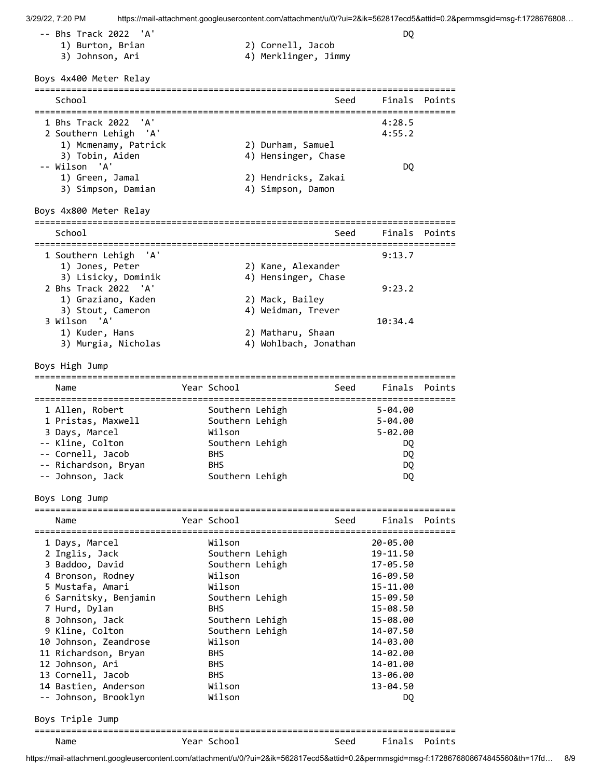-- Bhs Track 2022 'A' DQ

- -
- 1) Burton, Brian 2) Cornell, Jacob
- 3) Johnson, Ari (4) Merklinger, Jimmy

Boys 4x400 Meter Relay

| School                | Seed                | Finals Points |  |
|-----------------------|---------------------|---------------|--|
| 1 Bhs Track 2022 'A'  |                     | 4:28.5        |  |
| 2 Southern Lehigh 'A' |                     | 4:55.2        |  |
| 1) Mcmenamy, Patrick  | 2) Durham, Samuel   |               |  |
| 3) Tobin, Aiden       | 4) Hensinger, Chase |               |  |
| -- Wilson 'A'         |                     | DO            |  |
| 1) Green, Jamal       | 2) Hendricks, Zakai |               |  |
| 3) Simpson, Damian    | 4) Simpson, Damon   |               |  |

### Boys 4x800 Meter Relay

| School                                   |                                         |                                            | Seed Finals Points |  |
|------------------------------------------|-----------------------------------------|--------------------------------------------|--------------------|--|
| 1 Southern Lehigh 'A'<br>1) Jones, Peter | 3) Lisicky, Dominik                     | 2) Kane, Alexander<br>4) Hensinger, Chase  | 9:13.7             |  |
| 2 Bhs Track 2022 'A'                     | 1) Graziano, Kaden<br>3) Stout, Cameron | 2) Mack, Bailey<br>4) Weidman, Trever      | 9:23.2             |  |
| 3 Wilson 'A'<br>1) Kuder, Hans           | 3) Murgia, Nicholas                     | 2) Matharu, Shaan<br>4) Wohlbach, Jonathan | 10:34.4            |  |

### Boys High Jump

| Name                 | Year School     | Seed | Finals Points |  |
|----------------------|-----------------|------|---------------|--|
| 1 Allen, Robert      | Southern Lehigh |      | $5 - 04.00$   |  |
| 1 Pristas, Maxwell   | Southern Lehigh |      | $5 - 04.00$   |  |
| 3 Days, Marcel       | Wilson          |      | $5 - 02.00$   |  |
| -- Kline, Colton     | Southern Lehigh |      | DQ            |  |
| -- Cornell, Jacob    | <b>BHS</b>      |      | DQ            |  |
| -- Richardson, Bryan | <b>BHS</b>      |      | DQ            |  |
| -- Johnson, Jack     | Southern Lehigh |      | DQ            |  |

Boys Long Jump

| Name                  | Year School     | Seed | Finals   | Points |
|-----------------------|-----------------|------|----------|--------|
| 1 Days, Marcel        | Wilson          |      | 20-05.00 |        |
| 2 Inglis, Jack        | Southern Lehigh |      | 19-11.50 |        |
| 3 Baddoo, David       | Southern Lehigh |      | 17-05.50 |        |
| 4 Bronson, Rodney     | Wilson          |      | 16-09.50 |        |
| 5 Mustafa, Amari      | Wilson          |      | 15-11.00 |        |
| 6 Sarnitsky, Benjamin | Southern Lehigh |      | 15-09.50 |        |
| 7 Hurd, Dylan         | <b>BHS</b>      |      | 15-08.50 |        |
| 8 Johnson, Jack       | Southern Lehigh |      | 15-08.00 |        |
| 9 Kline, Colton       | Southern Lehigh |      | 14-07.50 |        |
| 10 Johnson, Zeandrose | Wilson          |      | 14-03.00 |        |
| 11 Richardson, Bryan  | <b>BHS</b>      |      | 14-02.00 |        |
| 12 Johnson, Ari       | <b>BHS</b>      |      | 14-01.00 |        |
| 13 Cornell, Jacob     | <b>BHS</b>      |      | 13-06.00 |        |
| 14 Bastien, Anderson  | Wilson          |      | 13-04.50 |        |
| -- Johnson, Brooklyn  | Wilson          |      | DQ       |        |
|                       |                 |      |          |        |

### Boys Triple Jump